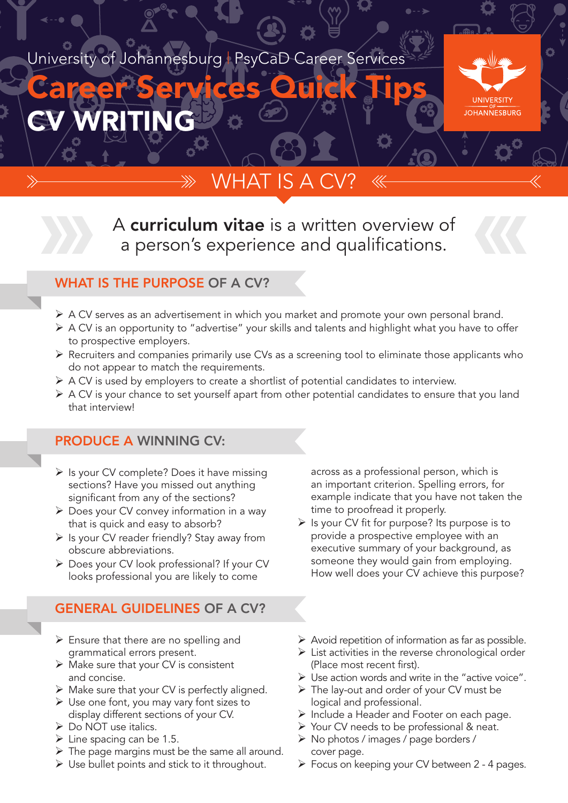### University of Johannesburg | PsyCaD Career Services

# CV WRITING Career Services Quick Tips



## WHAT IS A

A curriculum vitae is a written overview of a person's experience and qualifications.



#### WHAT IS THE PURPOSE OF A CV?

- Ø A CV serves as an advertisement in which you market and promote your own personal brand.
- Ø A CV is an opportunity to "advertise" your skills and talents and highlight what you have to offer to prospective employers.
- $\triangleright$  Recruiters and companies primarily use CVs as a screening tool to eliminate those applicants who do not appear to match the requirements.
- Ø A CV is used by employers to create a shortlist of potential candidates to interview.
- Ø A CV is your chance to set yourself apart from other potential candidates to ensure that you land that interview!

#### PRODUCE A WINNING CV:

- $\triangleright$  Is your CV complete? Does it have missing sections? Have you missed out anything significant from any of the sections?
- $\triangleright$  Does your CV convey information in a way that is quick and easy to absorb?
- $\triangleright$  Is your CV reader friendly? Stay away from obscure abbreviations.
- $\triangleright$  Does your CV look professional? If your CV looks professional you are likely to come

#### GENERAL GUIDELINES OF A CV?

- $\triangleright$  Ensure that there are no spelling and grammatical errors present.
- $\triangleright$  Make sure that your CV is consistent and concise.
- $\triangleright$  Make sure that your CV is perfectly aligned.
- $\triangleright$  Use one font, you may vary font sizes to display different sections of your CV.
- Ø Do NOT use italics.
- $\triangleright$  Line spacing can be 1.5.
- $\triangleright$  The page margins must be the same all around.
- $\triangleright$  Use bullet points and stick to it throughout.

across as a professional person, which is an important criterion. Spelling errors, for example indicate that you have not taken the time to proofread it properly.

- $\triangleright$  Is your CV fit for purpose? Its purpose is to provide a prospective employee with an executive summary of your background, as someone they would gain from employing. How well does your CV achieve this purpose?
- $\triangleright$  Avoid repetition of information as far as possible.
- $\triangleright$  List activities in the reverse chronological order (Place most recent first).
- $\triangleright$  Use action words and write in the "active voice".
- $\triangleright$  The lay-out and order of your CV must be logical and professional.
- $\triangleright$  Include a Header and Footer on each page.
- Ø Your CV needs to be professional & neat.
- Ø No photos / images / page borders / cover page.
- Ø Focus on keeping your CV between 2 4 pages.